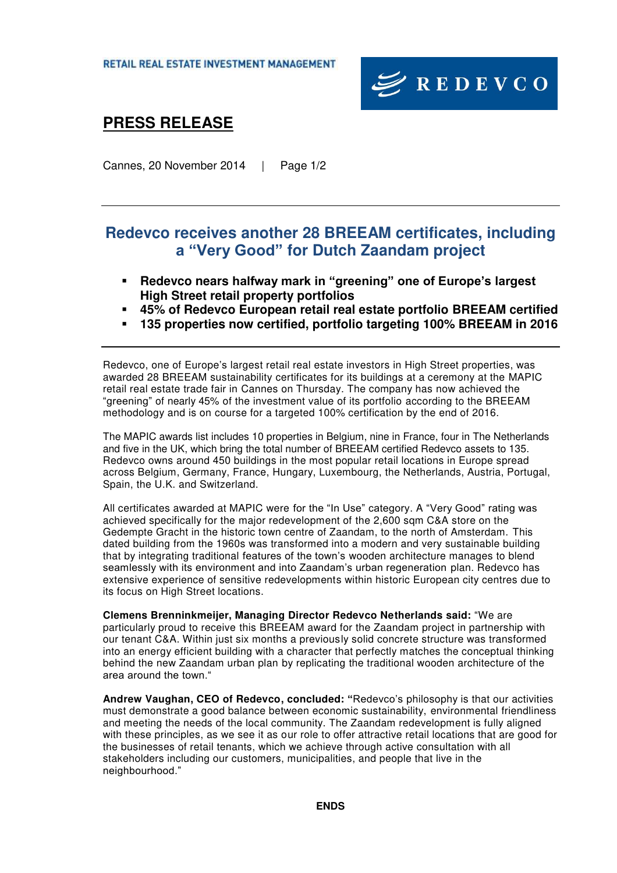

## **PRESS RELEASE**

Cannes, 20 November 2014 | Page 1/2

### **Redevco receives another 28 BREEAM certificates, including a "Very Good" for Dutch Zaandam project**

- **Redevco nears halfway mark in "greening" one of Europe's largest High Street retail property portfolios**
- **45% of Redevco European retail real estate portfolio BREEAM certified**
- **135 properties now certified, portfolio targeting 100% BREEAM in 2016**

Redevco, one of Europe's largest retail real estate investors in High Street properties, was awarded 28 BREEAM sustainability certificates for its buildings at a ceremony at the MAPIC retail real estate trade fair in Cannes on Thursday. The company has now achieved the "greening" of nearly 45% of the investment value of its portfolio according to the BREEAM methodology and is on course for a targeted 100% certification by the end of 2016.

The MAPIC awards list includes 10 properties in Belgium, nine in France, four in The Netherlands and five in the UK, which bring the total number of BREEAM certified Redevco assets to 135. Redevco owns around 450 buildings in the most popular retail locations in Europe spread across Belgium, Germany, France, Hungary, Luxembourg, the Netherlands, Austria, Portugal, Spain, the U.K. and Switzerland.

All certificates awarded at MAPIC were for the "In Use" category. A "Very Good" rating was achieved specifically for the major redevelopment of the 2,600 sqm C&A store on the Gedempte Gracht in the historic town centre of Zaandam, to the north of Amsterdam. This dated building from the 1960s was transformed into a modern and very sustainable building that by integrating traditional features of the town's wooden architecture manages to blend seamlessly with its environment and into Zaandam's urban regeneration plan. Redevco has extensive experience of sensitive redevelopments within historic European city centres due to its focus on High Street locations.

**Clemens Brenninkmeijer, Managing Director Redevco Netherlands said:** "We are particularly proud to receive this BREEAM award for the Zaandam project in partnership with our tenant C&A. Within just six months a previously solid concrete structure was transformed into an energy efficient building with a character that perfectly matches the conceptual thinking behind the new Zaandam urban plan by replicating the traditional wooden architecture of the area around the town."

**Andrew Vaughan, CEO of Redevco, concluded: "**Redevco's philosophy is that our activities must demonstrate a good balance between economic sustainability, environmental friendliness and meeting the needs of the local community. The Zaandam redevelopment is fully aligned with these principles, as we see it as our role to offer attractive retail locations that are good for the businesses of retail tenants, which we achieve through active consultation with all stakeholders including our customers, municipalities, and people that live in the neighbourhood."